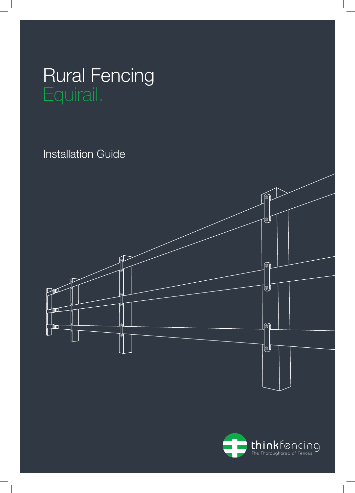# Rural Fencing

Installation Guide



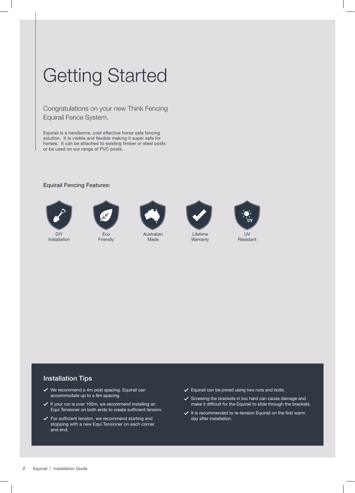## Getting Started

Congratulations on your new Think Fencing Equirail Fence System.

Equirail is a handsome, cost effective horse safe fencing solution. It is visible and flexible making it super safe for horses. It can be attached to existing timber or steel posts or be used on our range of PVC posts.

#### Equirail Fencing Features:



DIY Installation



Eco Friendly



Australian Made



Lifetime **Warranty** 



Resistant

### Installation Tips

- $\checkmark$  We recommend a 4m post spacing. Equirail can accommodate up to a 6m spacing.
- $\checkmark$  If your run is over 100m, we recommend installing an Equi Tensioner on both ends to create sufficient tension.
- $\checkmark$  For sufficient tension, we recommend starting and stopping with a new Equi Tensioner on each corner and end.
- $\checkmark$  Equirail can be joined using two nuts and bolts.
- $\checkmark$  Screwing the brackets in too hard can cause damage and make it difficult for the Equirail to slide through the brackets.
- $\checkmark$  It is recommended to re-tension Equirail on the first warm day after installation.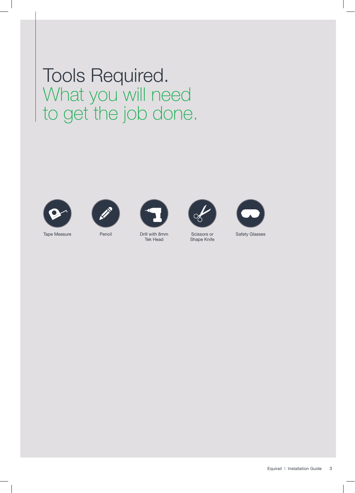Tools Required. What you will need to get the job done.















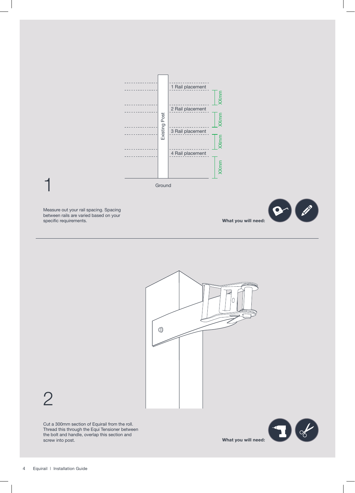

Measure out your rail spacing. Spacing between rails are varied based on your specific requirements.

1





2

Cut a 300mm section of Equirail from the roll. Thread this through the Equi Tensioner between the bolt and handle, overlap this section and screw into post.

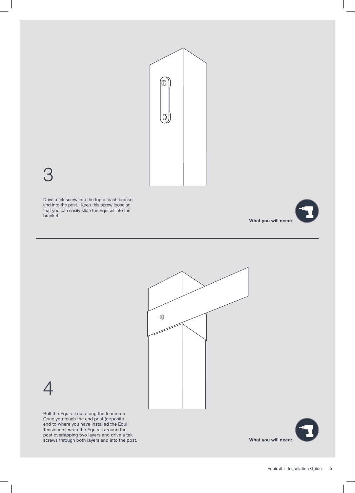

## 3

Drive a tek screw into the top of each bracket and into the post. Keep this screw loose so that you can easily slide the Equirail into the bracket.







Roll the Equirail out along the fence run. Once you reach the end post (opposite end to where you have installed the Equi Tensioners) wrap the Equirail around the post overlapping two layers and drive a tek screws through both layers and into the post.

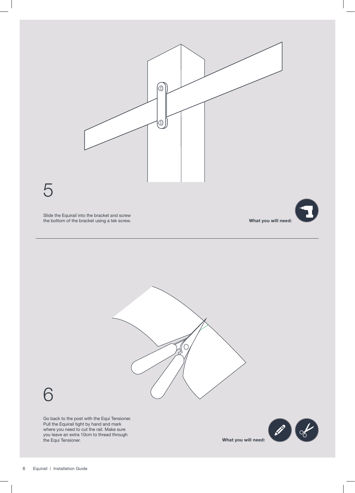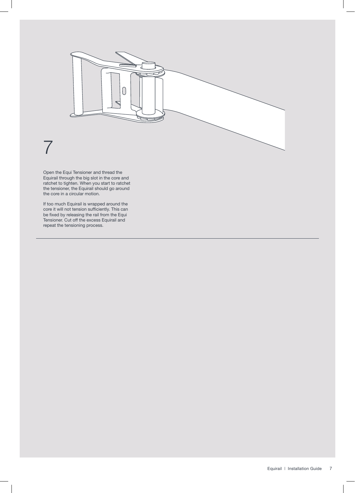

Open the Equi Tensioner and thread the Equirail through the big slot in the core and ratchet to tighten. When you start to ratchet the tensioner, the Equirail should go around the core in a circular motion.

If too much Equirail is wrapped around the core it will not tension sufficiently. This can be fixed by releasing the rail from the Equi Tensioner. Cut off the excess Equirail and repeat the tensioning process.